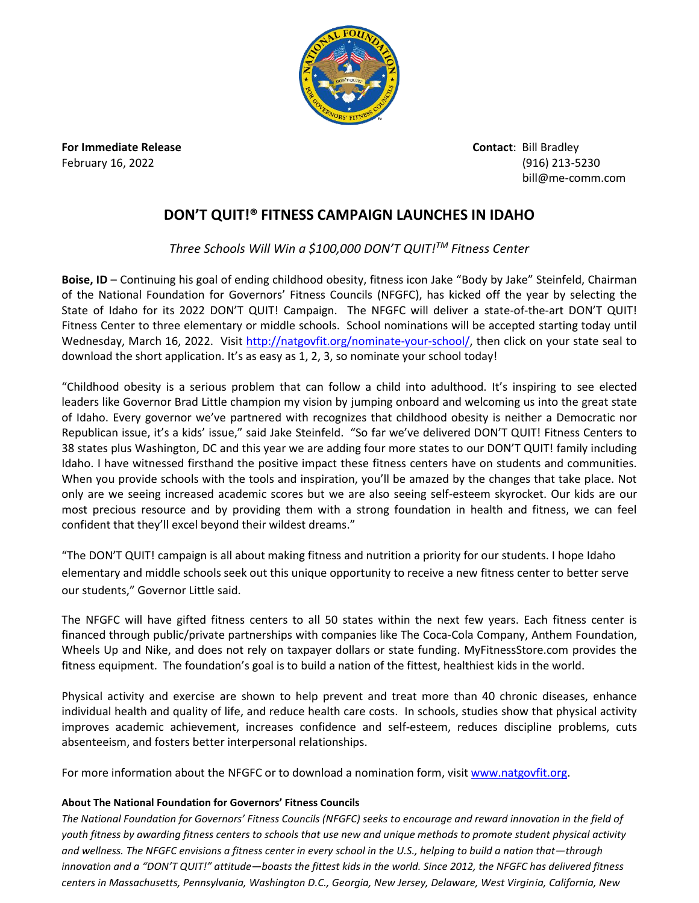

**For Immediate Release Contact**: Bill Bradley

February 16, 2022 (916) 213-5230 bill@me-comm.com

## **DON'T QUIT!® FITNESS CAMPAIGN LAUNCHES IN IDAHO**

*Three Schools Will Win a \$100,000 DON'T QUIT!TM Fitness Center*

**Boise, ID** – Continuing his goal of ending childhood obesity, fitness icon Jake "Body by Jake" Steinfeld, Chairman of the National Foundation for Governors' Fitness Councils (NFGFC), has kicked off the year by selecting the State of Idaho for its 2022 DON'T QUIT! Campaign. The NFGFC will deliver a state-of-the-art DON'T QUIT! Fitness Center to three elementary or middle schools. School nominations will be accepted starting today until Wednesday, March 16, 2022. Visit [http://natgovfit.org/nominate-your-school/,](http://natgovfit.org/nominate-your-school/) then click on your state seal to download the short application. It's as easy as 1, 2, 3, so nominate your school today!

"Childhood obesity is a serious problem that can follow a child into adulthood. It's inspiring to see elected leaders like Governor Brad Little champion my vision by jumping onboard and welcoming us into the great state of Idaho. Every governor we've partnered with recognizes that childhood obesity is neither a Democratic nor Republican issue, it's a kids' issue," said Jake Steinfeld. "So far we've delivered DON'T QUIT! Fitness Centers to 38 states plus Washington, DC and this year we are adding four more states to our DON'T QUIT! family including Idaho. I have witnessed firsthand the positive impact these fitness centers have on students and communities. When you provide schools with the tools and inspiration, you'll be amazed by the changes that take place. Not only are we seeing increased academic scores but we are also seeing self-esteem skyrocket. Our kids are our most precious resource and by providing them with a strong foundation in health and fitness, we can feel confident that they'll excel beyond their wildest dreams."

"The DON'T QUIT! campaign is all about making fitness and nutrition a priority for our students. I hope Idaho elementary and middle schools seek out this unique opportunity to receive a new fitness center to better serve our students," Governor Little said.

The NFGFC will have gifted fitness centers to all 50 states within the next few years. Each fitness center is financed through public/private partnerships with companies like The Coca-Cola Company, Anthem Foundation, Wheels Up and Nike, and does not rely on taxpayer dollars or state funding. MyFitnessStore.com provides the fitness equipment. The foundation's goal is to build a nation of the fittest, healthiest kids in the world.

Physical activity and exercise are shown to help prevent and treat more than 40 chronic diseases, enhance individual health and quality of life, and reduce health care costs. In schools, studies show that physical activity improves academic achievement, increases confidence and self-esteem, reduces discipline problems, cuts absenteeism, and fosters better interpersonal relationships.

For more information about the NFGFC or to download a nomination form, visi[t www.natgovfit.org.](http://www.natgovfit.org/)

## **About The National Foundation for Governors' Fitness Councils**

*The National Foundation for Governors' Fitness Councils (NFGFC) seeks to encourage and reward innovation in the field of youth fitness by awarding fitness centers to schools that use new and unique methods to promote student physical activity and wellness. The NFGFC envisions a fitness center in every school in the U.S., helping to build a nation that—through innovation and a "DON'T QUIT!" attitude—boasts the fittest kids in the world. Since 2012, the NFGFC has delivered fitness centers in Massachusetts, Pennsylvania, Washington D.C., Georgia, New Jersey, Delaware, West Virginia, California, New*